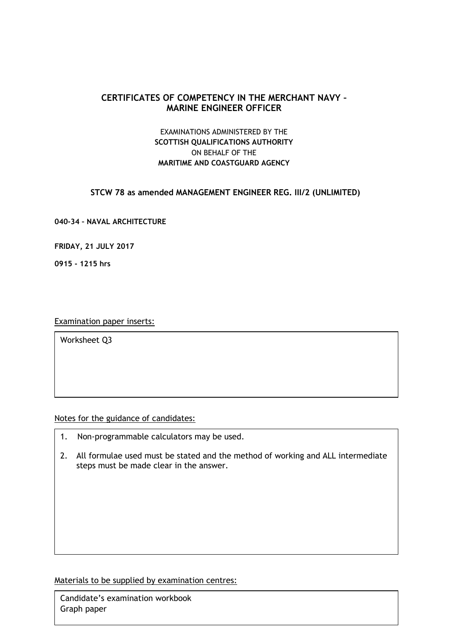# **CERTIFICATES OF COMPETENCY IN THE MERCHANT NAVY – MARINE ENGINEER OFFICER**

# EXAMINATIONS ADMINISTERED BY THE **SCOTTISH QUALIFICATIONS AUTHORITY** ON BEHALF OF THE **MARITIME AND COASTGUARD AGENCY**

## **STCW 78 as amended MANAGEMENT ENGINEER REG. III/2 (UNLIMITED)**

**040-34 – NAVAL ARCHITECTURE**

**FRIDAY, 21 JULY 2017**

**0915 - 1215 hrs**

Examination paper inserts:

Worksheet Q3

Notes for the guidance of candidates:

- 1. Non-programmable calculators may be used.
- 2. All formulae used must be stated and the method of working and ALL intermediate steps must be made clear in the answer.

Materials to be supplied by examination centres:

Candidate's examination workbook Graph paper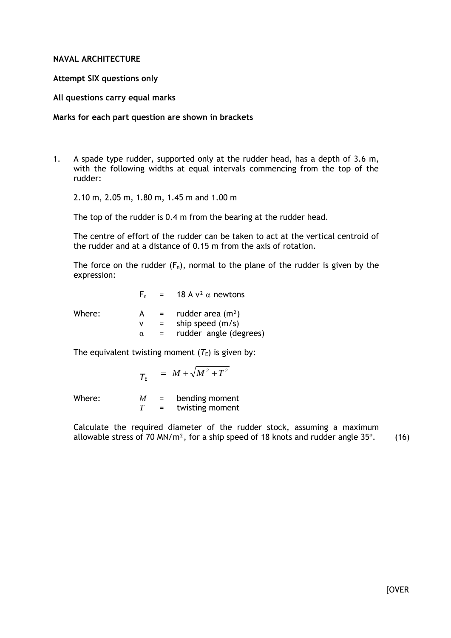### **NAVAL ARCHITECTURE**

### **Attempt SIX questions only**

### **All questions carry equal marks**

#### **Marks for each part question are shown in brackets**

1. A spade type rudder, supported only at the rudder head, has a depth of 3.6 m, with the following widths at equal intervals commencing from the top of the rudder:

2.10 m, 2.05 m, 1.80 m, 1.45 m and 1.00 m

The top of the rudder is 0.4 m from the bearing at the rudder head.

The centre of effort of the rudder can be taken to act at the vertical centroid of the rudder and at a distance of 0.15 m from the axis of rotation.

The force on the rudder  $(F_n)$ , normal to the plane of the rudder is given by the expression:

|        |   |                           | $F_n = 18 A v^2 \alpha$ newtons |
|--------|---|---------------------------|---------------------------------|
| Where: | A | $\mathbf{r} = \mathbf{r}$ | rudder area $(m2)$              |
|        | v | $=$                       | ship speed $(m/s)$              |
|        | α |                           | rudder angle (degrees)          |
|        |   |                           |                                 |

The equivalent twisting moment  $(T_E)$  is given by:

$$
\mathcal{T}_{E} = M + \sqrt{M^2 + T^2}
$$

Where:  $M =$  bending moment<br> $T =$  twisting moment twisting moment

Calculate the required diameter of the rudder stock, assuming a maximum allowable stress of 70 MN/ $m^2$ , for a ship speed of 18 knots and rudder angle 35 $^{\circ}$ . (16)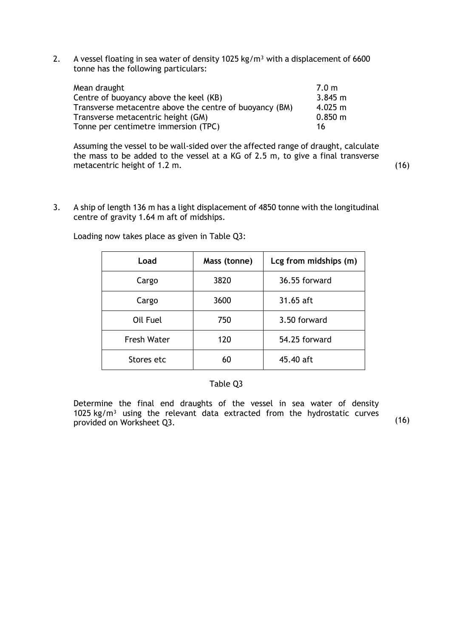2. A vessel floating in sea water of density 1025 kg/m<sup>3</sup> with a displacement of 6600 tonne has the following particulars:

| Mean draught                                            | 7.0 <sub>m</sub> |
|---------------------------------------------------------|------------------|
| Centre of buoyancy above the keel (KB)                  | 3.845 m          |
| Transverse metacentre above the centre of buoyancy (BM) | $4.025 \; m$     |
| Transverse metacentric height (GM)                      | $0.850 \; m$     |
| Tonne per centimetre immersion (TPC)                    | 16               |

Assuming the vessel to be wall-sided over the affected range of draught, calculate the mass to be added to the vessel at a KG of 2.5 m, to give a final transverse metacentric height of 1.2 m. (16)

3. A ship of length 136 m has a light displacement of 4850 tonne with the longitudinal centre of gravity 1.64 m aft of midships.

| Load               | Mass (tonne) | Lcg from midships (m) |
|--------------------|--------------|-----------------------|
| Cargo              | 3820         | 36.55 forward         |
| Cargo              | 3600         | 31.65 aft             |
| Oil Fuel           | 750          | 3.50 forward          |
| <b>Fresh Water</b> | 120          | 54.25 forward         |
| Stores etc         | 60           | 45.40 aft             |

Loading now takes place as given in Table Q3:

## Table Q3

Determine the final end draughts of the vessel in sea water of density 1025 kg/ $m<sup>3</sup>$  using the relevant data extracted from the hydrostatic curves provided on Worksheet Q3. (16)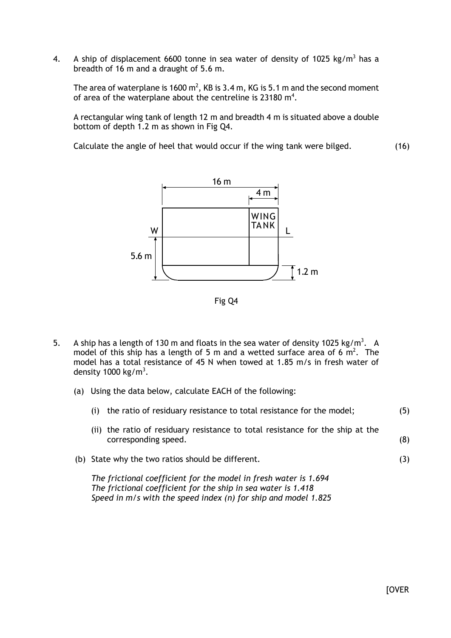4. A ship of displacement 6600 tonne in sea water of density of 1025 kg/m<sup>3</sup> has a breadth of 16 m and a draught of 5.6 m.

The area of waterplane is 1600  $m^2$ , KB is 3.4 m, KG is 5.1 m and the second moment of area of the waterplane about the centreline is 23180  $m^4$ .

A rectangular wing tank of length 12 m and breadth 4 m is situated above a double bottom of depth 1.2 m as shown in Fig Q4.

Calculate the angle of heel that would occur if the wing tank were bilged. (16)



Fig Q4

- 5. A ship has a length of 130 m and floats in the sea water of density 1025 kg/m<sup>3</sup>. A model of this ship has a length of 5 m and a wetted surface area of 6  $m^2$ . The model has a total resistance of 45 N when towed at 1.85 m/s in fresh water of density 1000 kg/m<sup>3</sup>.
	- (a) Using the data below, calculate EACH of the following:

| (i)                                               | the ratio of residuary resistance to total resistance for the model;                                                                                                                                  | (5) |
|---------------------------------------------------|-------------------------------------------------------------------------------------------------------------------------------------------------------------------------------------------------------|-----|
|                                                   | (ii) the ratio of residuary resistance to total resistance for the ship at the<br>corresponding speed.                                                                                                | (8) |
| (b) State why the two ratios should be different. |                                                                                                                                                                                                       | (3) |
|                                                   | The frictional coefficient for the model in fresh water is 1.694<br>The frictional coefficient for the ship in sea water is 1.418<br>Speed in $m/s$ with the speed index (n) for ship and model 1.825 |     |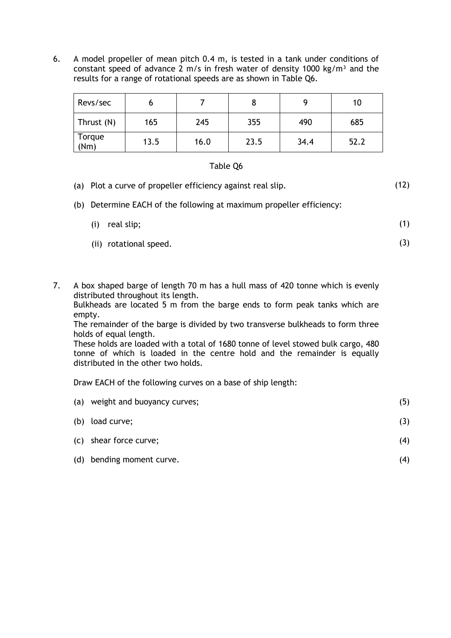6. A model propeller of mean pitch 0.4 m, is tested in a tank under conditions of constant speed of advance 2 m/s in fresh water of density 1000 kg/m<sup>3</sup> and the results for a range of rotational speeds are as shown in Table Q6.

| Revs/sec       |      |      | 8    |      | 10   |
|----------------|------|------|------|------|------|
| Thrust (N)     | 165  | 245  | 355  | 490  | 685  |
| Torque<br>(Nm) | 13.5 | 16.0 | 23.5 | 34.4 | 52.2 |

## Table Q6

- (a) Plot a curve of propeller efficiency against real slip. (12)
- (b) Determine EACH of the following at maximum propeller efficiency:

| (i) real slip;         |  |
|------------------------|--|
| (ii) rotational speed. |  |

7. A box shaped barge of length 70 m has a hull mass of 420 tonne which is evenly distributed throughout its length.

Bulkheads are located 5 m from the barge ends to form peak tanks which are empty.

The remainder of the barge is divided by two transverse bulkheads to form three holds of equal length.

These holds are loaded with a total of 1680 tonne of level stowed bulk cargo, 480 tonne of which is loaded in the centre hold and the remainder is equally distributed in the other two holds.

Draw EACH of the following curves on a base of ship length:

| (a) | weight and buoyancy curves; | (5) |
|-----|-----------------------------|-----|
|     | (b) load curve;             | (3) |
|     | (c) shear force curve;      | (4) |
| (d) | bending moment curve.       | (4) |